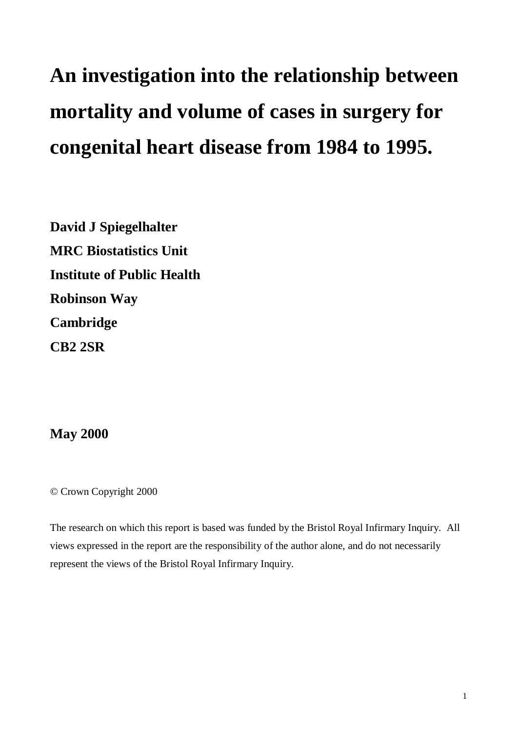# **An investigation into the relationship between mortality and volume of cases in surgery for congenital heart disease from 1984 to 1995.**

**David J Spiegelhalter MRC Biostatistics Unit Institute of Public Health Robinson Way Cambridge CB2 2SR**

**May 2000**

© Crown Copyright 2000

The research on which this report is based was funded by the Bristol Royal Infirmary Inquiry. All views expressed in the report are the responsibility of the author alone, and do not necessarily represent the views of the Bristol Royal Infirmary Inquiry.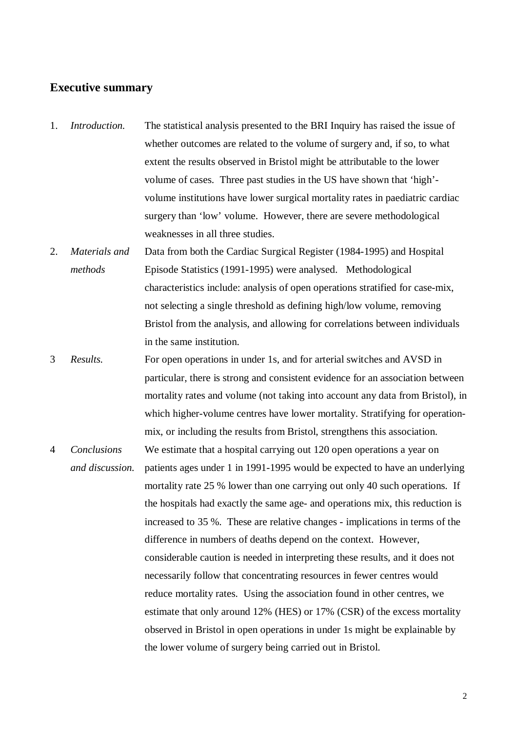## **Executive summary**

- 1. *Introduction.* The statistical analysis presented to the BRI Inquiry has raised the issue of whether outcomes are related to the volume of surgery and, if so, to what extent the results observed in Bristol might be attributable to the lower volume of cases. Three past studies in the US have shown that 'high' volume institutions have lower surgical mortality rates in paediatric cardiac surgery than 'low' volume. However, there are severe methodological weaknesses in all three studies.
- 2. *Materials and methods* Data from both the Cardiac Surgical Register (1984-1995) and Hospital Episode Statistics (1991-1995) were analysed. Methodological characteristics include: analysis of open operations stratified for case-mix, not selecting a single threshold as defining high/low volume, removing Bristol from the analysis, and allowing for correlations between individuals in the same institution.
- 3 *Results.* For open operations in under 1s, and for arterial switches and AVSD in particular, there is strong and consistent evidence for an association between mortality rates and volume (not taking into account any data from Bristol), in which higher-volume centres have lower mortality. Stratifying for operationmix, or including the results from Bristol, strengthens this association.
- 4 *Conclusions and discussion.* We estimate that a hospital carrying out 120 open operations a year on patients ages under 1 in 1991-1995 would be expected to have an underlying mortality rate 25 % lower than one carrying out only 40 such operations. If the hospitals had exactly the same age- and operations mix, this reduction is increased to 35 %. These are relative changes - implications in terms of the difference in numbers of deaths depend on the context. However, considerable caution is needed in interpreting these results, and it does not necessarily follow that concentrating resources in fewer centres would reduce mortality rates. Using the association found in other centres, we estimate that only around 12% (HES) or 17% (CSR) of the excess mortality observed in Bristol in open operations in under 1s might be explainable by the lower volume of surgery being carried out in Bristol.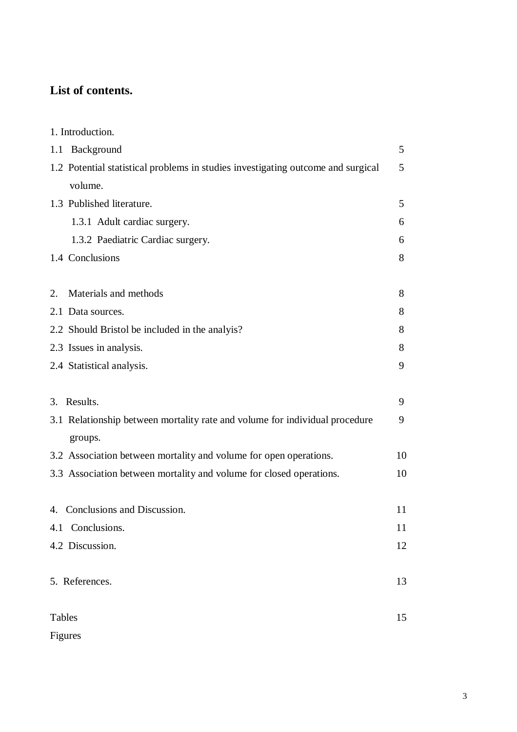# **List of contents.**

| 1. Introduction.                                                                 |    |
|----------------------------------------------------------------------------------|----|
| Background<br>1.1                                                                | 5  |
| 1.2 Potential statistical problems in studies investigating outcome and surgical | 5  |
| volume.                                                                          |    |
| 1.3 Published literature.                                                        | 5  |
| 1.3.1 Adult cardiac surgery.                                                     | 6  |
| 1.3.2 Paediatric Cardiac surgery.                                                | 6  |
| 1.4 Conclusions                                                                  | 8  |
|                                                                                  |    |
| Materials and methods<br>2.                                                      | 8  |
| 2.1 Data sources.                                                                | 8  |
| 2.2 Should Bristol be included in the analyis?                                   | 8  |
| 2.3 Issues in analysis.                                                          | 8  |
| 2.4 Statistical analysis.                                                        | 9  |
|                                                                                  |    |
| 3. Results.                                                                      | 9  |
| 3.1 Relationship between mortality rate and volume for individual procedure      | 9  |
| groups.                                                                          |    |
| 3.2 Association between mortality and volume for open operations.                | 10 |
| 3.3 Association between mortality and volume for closed operations.              | 10 |
|                                                                                  |    |
| 4. Conclusions and Discussion.                                                   | 11 |
| Conclusions.<br>4.1                                                              | 11 |
| 4.2 Discussion.                                                                  | 12 |
|                                                                                  |    |
| 5. References.                                                                   | 13 |
|                                                                                  |    |
| Tables                                                                           | 15 |
| Figures                                                                          |    |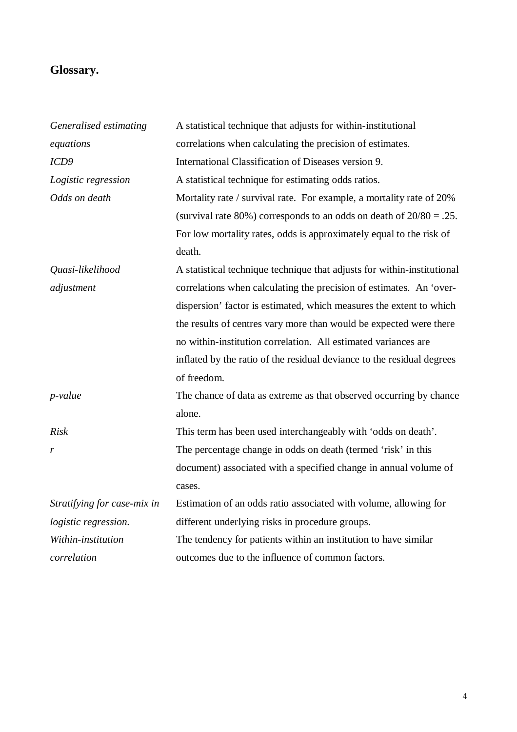# **Glossary.**

| Generalised estimating      | A statistical technique that adjusts for within-institutional           |
|-----------------------------|-------------------------------------------------------------------------|
| equations                   | correlations when calculating the precision of estimates.               |
| ICD9                        | International Classification of Diseases version 9.                     |
| Logistic regression         | A statistical technique for estimating odds ratios.                     |
| Odds on death               | Mortality rate / survival rate. For example, a mortality rate of 20%    |
|                             | (survival rate 80%) corresponds to an odds on death of $20/80 = .25$ .  |
|                             | For low mortality rates, odds is approximately equal to the risk of     |
|                             | death.                                                                  |
| Quasi-likelihood            | A statistical technique technique that adjusts for within-institutional |
| adjustment                  | correlations when calculating the precision of estimates. An 'over-     |
|                             | dispersion' factor is estimated, which measures the extent to which     |
|                             | the results of centres vary more than would be expected were there      |
|                             | no within-institution correlation. All estimated variances are          |
|                             | inflated by the ratio of the residual deviance to the residual degrees  |
|                             | of freedom.                                                             |
| $p$ -value                  | The chance of data as extreme as that observed occurring by chance      |
|                             | alone.                                                                  |
| Risk                        | This term has been used interchangeably with 'odds on death'.           |
| r                           | The percentage change in odds on death (termed 'risk' in this           |
|                             | document) associated with a specified change in annual volume of        |
|                             | cases.                                                                  |
| Stratifying for case-mix in | Estimation of an odds ratio associated with volume, allowing for        |
| logistic regression.        | different underlying risks in procedure groups.                         |
| Within-institution          | The tendency for patients within an institution to have similar         |
| correlation                 | outcomes due to the influence of common factors.                        |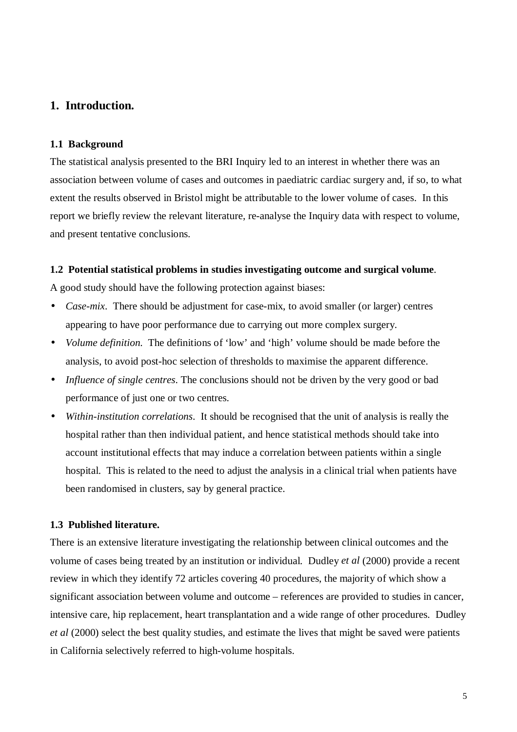# **1. Introduction.**

#### **1.1 Background**

The statistical analysis presented to the BRI Inquiry led to an interest in whether there was an association between volume of cases and outcomes in paediatric cardiac surgery and, if so, to what extent the results observed in Bristol might be attributable to the lower volume of cases. In this report we briefly review the relevant literature, re-analyse the Inquiry data with respect to volume, and present tentative conclusions.

#### **1.2 Potential statistical problems in studies investigating outcome and surgical volume**.

A good study should have the following protection against biases:

- *Case-mix*. There should be adjustment for case-mix, to avoid smaller (or larger) centres appearing to have poor performance due to carrying out more complex surgery.
- *Volume definition*. The definitions of 'low' and 'high' volume should be made before the analysis, to avoid post-hoc selection of thresholds to maximise the apparent difference.
- *Influence of single centres*. The conclusions should not be driven by the very good or bad performance of just one or two centres.
- *Within-institution correlations*. It should be recognised that the unit of analysis is really the hospital rather than then individual patient, and hence statistical methods should take into account institutional effects that may induce a correlation between patients within a single hospital. This is related to the need to adjust the analysis in a clinical trial when patients have been randomised in clusters, say by general practice.

#### **1.3 Published literature.**

There is an extensive literature investigating the relationship between clinical outcomes and the volume of cases being treated by an institution or individual. Dudley *et al* (2000) provide a recent review in which they identify 72 articles covering 40 procedures, the majority of which show a significant association between volume and outcome – references are provided to studies in cancer, intensive care, hip replacement, heart transplantation and a wide range of other procedures. Dudley *et al* (2000) select the best quality studies, and estimate the lives that might be saved were patients in California selectively referred to high-volume hospitals.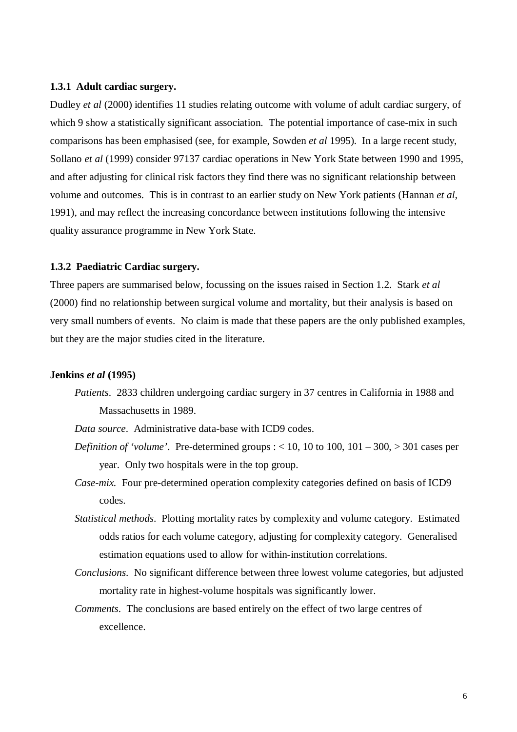#### **1.3.1 Adult cardiac surgery.**

Dudley *et al* (2000) identifies 11 studies relating outcome with volume of adult cardiac surgery, of which 9 show a statistically significant association. The potential importance of case-mix in such comparisons has been emphasised (see, for example, Sowden *et al* 1995). In a large recent study, Sollano *et al* (1999) consider 97137 cardiac operations in New York State between 1990 and 1995, and after adjusting for clinical risk factors they find there was no significant relationship between volume and outcomes. This is in contrast to an earlier study on New York patients (Hannan *et al*, 1991), and may reflect the increasing concordance between institutions following the intensive quality assurance programme in New York State.

#### **1.3.2 Paediatric Cardiac surgery.**

Three papers are summarised below, focussing on the issues raised in Section 1.2. Stark *et al* (2000) find no relationship between surgical volume and mortality, but their analysis is based on very small numbers of events. No claim is made that these papers are the only published examples, but they are the major studies cited in the literature.

#### **Jenkins** *et al* **(1995)**

- *Patients*. 2833 children undergoing cardiac surgery in 37 centres in California in 1988 and Massachusetts in 1989.
- *Data source*. Administrative data-base with ICD9 codes.
- *Definition of 'volume'.* Pre-determined groups  $: < 10$ , 10 to 100, 101 300,  $> 301$  cases per year. Only two hospitals were in the top group.
- *Case-mix.* Four pre-determined operation complexity categories defined on basis of ICD9 codes.
- *Statistical methods*. Plotting mortality rates by complexity and volume category. Estimated odds ratios for each volume category, adjusting for complexity category. Generalised estimation equations used to allow for within-institution correlations.
- *Conclusions*. No significant difference between three lowest volume categories, but adjusted mortality rate in highest-volume hospitals was significantly lower.
- *Comments*. The conclusions are based entirely on the effect of two large centres of excellence.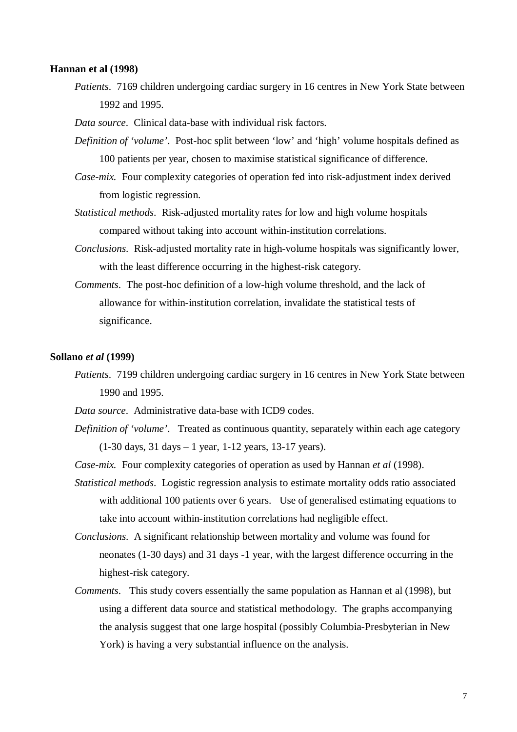#### **Hannan et al (1998)**

- *Patients*. 7169 children undergoing cardiac surgery in 16 centres in New York State between 1992 and 1995.
- *Data source*. Clinical data-base with individual risk factors.
- *Definition of 'volume'*. Post-hoc split between 'low' and 'high' volume hospitals defined as 100 patients per year, chosen to maximise statistical significance of difference.
- *Case-mix.* Four complexity categories of operation fed into risk-adjustment index derived from logistic regression.
- *Statistical methods*. Risk-adjusted mortality rates for low and high volume hospitals compared without taking into account within-institution correlations.
- *Conclusions*. Risk-adjusted mortality rate in high-volume hospitals was significantly lower, with the least difference occurring in the highest-risk category.
- *Comments*. The post-hoc definition of a low-high volume threshold, and the lack of allowance for within-institution correlation, invalidate the statistical tests of significance.

#### **Sollano** *et al* **(1999)**

*Patients*. 7199 children undergoing cardiac surgery in 16 centres in New York State between 1990 and 1995.

*Data source*. Administrative data-base with ICD9 codes.

- *Definition of 'volume'*. Treated as continuous quantity, separately within each age category (1-30 days, 31 days – 1 year, 1-12 years, 13-17 years).
- *Case-mix.* Four complexity categories of operation as used by Hannan *et al* (1998).
- *Statistical methods*. Logistic regression analysis to estimate mortality odds ratio associated with additional 100 patients over 6 years. Use of generalised estimating equations to take into account within-institution correlations had negligible effect.
- *Conclusions*. A significant relationship between mortality and volume was found for neonates (1-30 days) and 31 days -1 year, with the largest difference occurring in the highest-risk category.
- *Comments*. This study covers essentially the same population as Hannan et al (1998), but using a different data source and statistical methodology. The graphs accompanying the analysis suggest that one large hospital (possibly Columbia-Presbyterian in New York) is having a very substantial influence on the analysis.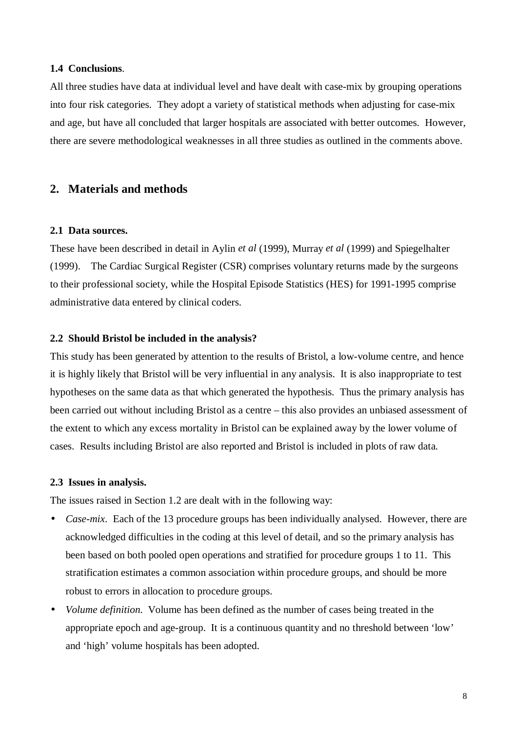#### **1.4 Conclusions**.

All three studies have data at individual level and have dealt with case-mix by grouping operations into four risk categories. They adopt a variety of statistical methods when adjusting for case-mix and age, but have all concluded that larger hospitals are associated with better outcomes. However, there are severe methodological weaknesses in all three studies as outlined in the comments above.

# **2. Materials and methods**

#### **2.1 Data sources.**

These have been described in detail in Aylin *et al* (1999), Murray *et al* (1999) and Spiegelhalter (1999). The Cardiac Surgical Register (CSR) comprises voluntary returns made by the surgeons to their professional society, while the Hospital Episode Statistics (HES) for 1991-1995 comprise administrative data entered by clinical coders.

## **2.2 Should Bristol be included in the analysis?**

This study has been generated by attention to the results of Bristol, a low-volume centre, and hence it is highly likely that Bristol will be very influential in any analysis. It is also inappropriate to test hypotheses on the same data as that which generated the hypothesis. Thus the primary analysis has been carried out without including Bristol as a centre – this also provides an unbiased assessment of the extent to which any excess mortality in Bristol can be explained away by the lower volume of cases. Results including Bristol are also reported and Bristol is included in plots of raw data.

#### **2.3 Issues in analysis.**

The issues raised in Section 1.2 are dealt with in the following way:

- *Case-mix.* Each of the 13 procedure groups has been individually analysed. However, there are acknowledged difficulties in the coding at this level of detail, and so the primary analysis has been based on both pooled open operations and stratified for procedure groups 1 to 11. This stratification estimates a common association within procedure groups, and should be more robust to errors in allocation to procedure groups.
- *Volume definition*. Volume has been defined as the number of cases being treated in the appropriate epoch and age-group. It is a continuous quantity and no threshold between 'low' and 'high' volume hospitals has been adopted.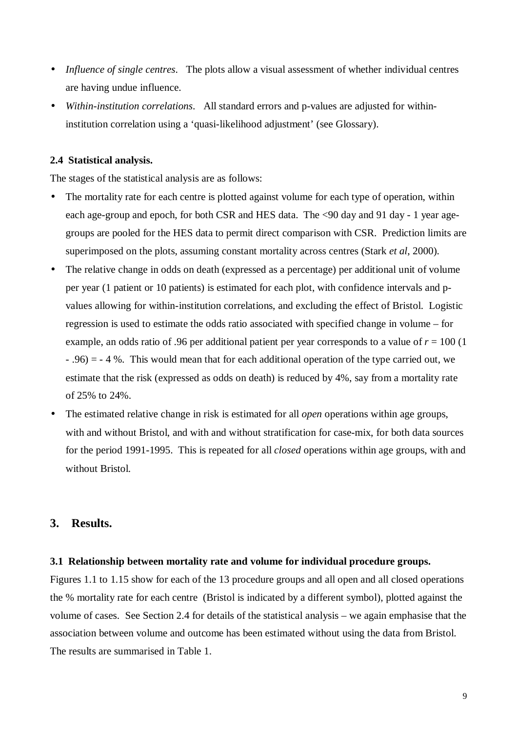- *Influence of single centres*. The plots allow a visual assessment of whether individual centres are having undue influence.
- *Within-institution correlations*. All standard errors and p-values are adjusted for withininstitution correlation using a 'quasi-likelihood adjustment' (see Glossary).

#### **2.4 Statistical analysis.**

The stages of the statistical analysis are as follows:

- The mortality rate for each centre is plotted against volume for each type of operation, within each age-group and epoch, for both CSR and HES data. The <90 day and 91 day - 1 year agegroups are pooled for the HES data to permit direct comparison with CSR. Prediction limits are superimposed on the plots, assuming constant mortality across centres (Stark *et al*, 2000).
- The relative change in odds on death (expressed as a percentage) per additional unit of volume per year (1 patient or 10 patients) is estimated for each plot, with confidence intervals and pvalues allowing for within-institution correlations, and excluding the effect of Bristol. Logistic regression is used to estimate the odds ratio associated with specified change in volume – for example, an odds ratio of .96 per additional patient per year corresponds to a value of  $r = 100$  (1)  $-$  .96) =  $-4$  %. This would mean that for each additional operation of the type carried out, we estimate that the risk (expressed as odds on death) is reduced by 4%, say from a mortality rate of 25% to 24%.
- The estimated relative change in risk is estimated for all *open* operations within age groups, with and without Bristol, and with and without stratification for case-mix, for both data sources for the period 1991-1995. This is repeated for all *closed* operations within age groups, with and without Bristol.

# **3. Results.**

#### **3.1 Relationship between mortality rate and volume for individual procedure groups.**

Figures 1.1 to 1.15 show for each of the 13 procedure groups and all open and all closed operations the % mortality rate for each centre (Bristol is indicated by a different symbol), plotted against the volume of cases. See Section 2.4 for details of the statistical analysis – we again emphasise that the association between volume and outcome has been estimated without using the data from Bristol. The results are summarised in Table 1.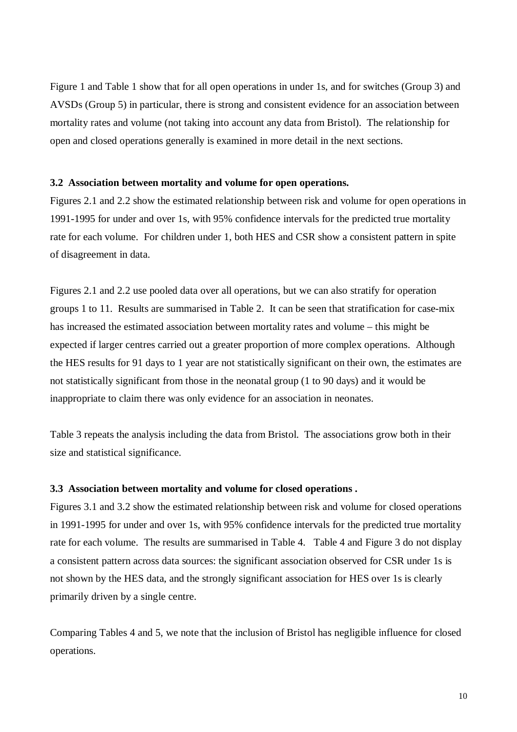Figure 1 and Table 1 show that for all open operations in under 1s, and for switches (Group 3) and AVSDs (Group 5) in particular, there is strong and consistent evidence for an association between mortality rates and volume (not taking into account any data from Bristol). The relationship for open and closed operations generally is examined in more detail in the next sections.

#### **3.2 Association between mortality and volume for open operations.**

Figures 2.1 and 2.2 show the estimated relationship between risk and volume for open operations in 1991-1995 for under and over 1s, with 95% confidence intervals for the predicted true mortality rate for each volume. For children under 1, both HES and CSR show a consistent pattern in spite of disagreement in data.

Figures 2.1 and 2.2 use pooled data over all operations, but we can also stratify for operation groups 1 to 11. Results are summarised in Table 2. It can be seen that stratification for case-mix has increased the estimated association between mortality rates and volume – this might be expected if larger centres carried out a greater proportion of more complex operations. Although the HES results for 91 days to 1 year are not statistically significant on their own, the estimates are not statistically significant from those in the neonatal group (1 to 90 days) and it would be inappropriate to claim there was only evidence for an association in neonates.

Table 3 repeats the analysis including the data from Bristol. The associations grow both in their size and statistical significance.

#### **3.3 Association between mortality and volume for closed operations .**

Figures 3.1 and 3.2 show the estimated relationship between risk and volume for closed operations in 1991-1995 for under and over 1s, with 95% confidence intervals for the predicted true mortality rate for each volume. The results are summarised in Table 4. Table 4 and Figure 3 do not display a consistent pattern across data sources: the significant association observed for CSR under 1s is not shown by the HES data, and the strongly significant association for HES over 1s is clearly primarily driven by a single centre.

Comparing Tables 4 and 5, we note that the inclusion of Bristol has negligible influence for closed operations.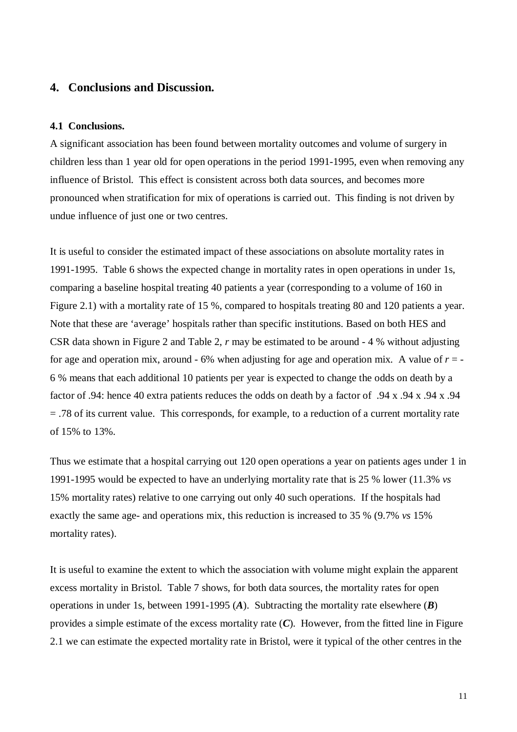# **4. Conclusions and Discussion.**

#### **4.1 Conclusions.**

A significant association has been found between mortality outcomes and volume of surgery in children less than 1 year old for open operations in the period 1991-1995, even when removing any influence of Bristol. This effect is consistent across both data sources, and becomes more pronounced when stratification for mix of operations is carried out. This finding is not driven by undue influence of just one or two centres.

It is useful to consider the estimated impact of these associations on absolute mortality rates in 1991-1995. Table 6 shows the expected change in mortality rates in open operations in under 1s, comparing a baseline hospital treating 40 patients a year (corresponding to a volume of 160 in Figure 2.1) with a mortality rate of 15 %, compared to hospitals treating 80 and 120 patients a year. Note that these are 'average' hospitals rather than specific institutions. Based on both HES and CSR data shown in Figure 2 and Table 2, *r* may be estimated to be around - 4 % without adjusting for age and operation mix, around  $-6\%$  when adjusting for age and operation mix. A value of  $r = -1$ 6 % means that each additional 10 patients per year is expected to change the odds on death by a factor of .94: hence 40 extra patients reduces the odds on death by a factor of .94 x .94 x .94 x .94 = .78 of its current value. This corresponds, for example, to a reduction of a current mortality rate of 15% to 13%.

Thus we estimate that a hospital carrying out 120 open operations a year on patients ages under 1 in 1991-1995 would be expected to have an underlying mortality rate that is 25 % lower (11.3% *vs* 15% mortality rates) relative to one carrying out only 40 such operations. If the hospitals had exactly the same age- and operations mix, this reduction is increased to 35 % (9.7% *vs* 15% mortality rates).

It is useful to examine the extent to which the association with volume might explain the apparent excess mortality in Bristol. Table 7 shows, for both data sources, the mortality rates for open operations in under 1s, between 1991-1995 (*A*). Subtracting the mortality rate elsewhere (*B*) provides a simple estimate of the excess mortality rate (*C*). However, from the fitted line in Figure 2.1 we can estimate the expected mortality rate in Bristol, were it typical of the other centres in the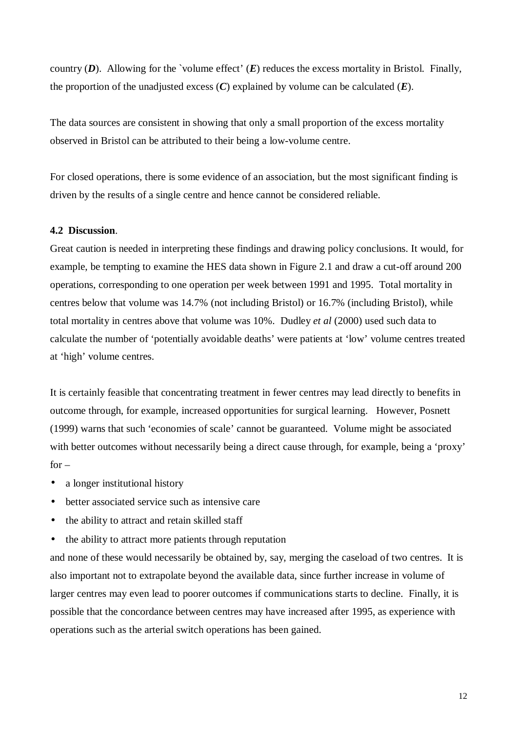country  $(D)$ . Allowing for the `volume effect'  $(E)$  reduces the excess mortality in Bristol. Finally, the proportion of the unadjusted excess  $(C)$  explained by volume can be calculated  $(E)$ .

The data sources are consistent in showing that only a small proportion of the excess mortality observed in Bristol can be attributed to their being a low-volume centre.

For closed operations, there is some evidence of an association, but the most significant finding is driven by the results of a single centre and hence cannot be considered reliable.

## **4.2 Discussion**.

Great caution is needed in interpreting these findings and drawing policy conclusions. It would, for example, be tempting to examine the HES data shown in Figure 2.1 and draw a cut-off around 200 operations, corresponding to one operation per week between 1991 and 1995. Total mortality in centres below that volume was 14.7% (not including Bristol) or 16.7% (including Bristol), while total mortality in centres above that volume was 10%. Dudley *et al* (2000) used such data to calculate the number of 'potentially avoidable deaths' were patients at 'low' volume centres treated at 'high' volume centres.

It is certainly feasible that concentrating treatment in fewer centres may lead directly to benefits in outcome through, for example, increased opportunities for surgical learning. However, Posnett (1999) warns that such 'economies of scale' cannot be guaranteed. Volume might be associated with better outcomes without necessarily being a direct cause through, for example, being a 'proxy'  $for -$ 

- a longer institutional history
- better associated service such as intensive care
- the ability to attract and retain skilled staff
- the ability to attract more patients through reputation

and none of these would necessarily be obtained by, say, merging the caseload of two centres. It is also important not to extrapolate beyond the available data, since further increase in volume of larger centres may even lead to poorer outcomes if communications starts to decline. Finally, it is possible that the concordance between centres may have increased after 1995, as experience with operations such as the arterial switch operations has been gained.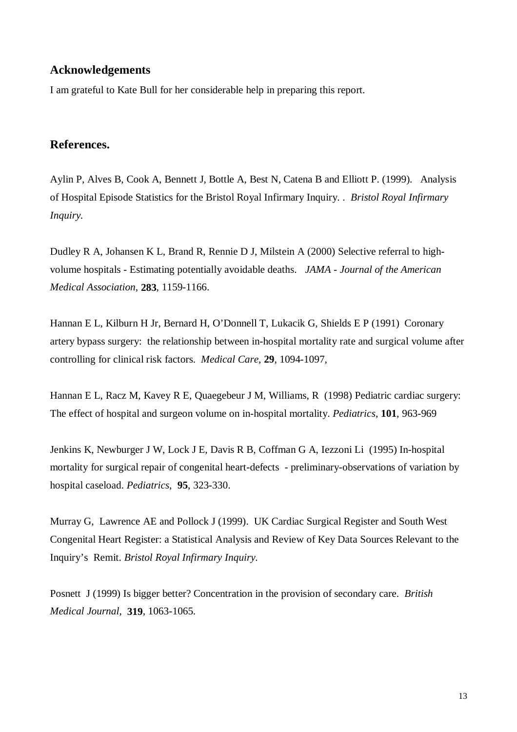# **Acknowledgements**

I am grateful to Kate Bull for her considerable help in preparing this report.

# **References.**

Aylin P, Alves B, Cook A, Bennett J, Bottle A, Best N, Catena B and Elliott P. (1999). Analysis of Hospital Episode Statistics for the Bristol Royal Infirmary Inquiry. . *Bristol Royal Infirmary Inquiry.*

Dudley R A, Johansen K L, Brand R, Rennie D J, Milstein A (2000) Selective referral to highvolume hospitals - Estimating potentially avoidable deaths. *JAMA - Journal of the American Medical Association*, **283**, 1159-1166.

Hannan E L, Kilburn H Jr, Bernard H, O'Donnell T, Lukacik G, Shields E P (1991) Coronary artery bypass surgery: the relationship between in-hospital mortality rate and surgical volume after controlling for clinical risk factors. *Medical Care*, **29**, 1094-1097,

Hannan E L, Racz M, Kavey R E, Quaegebeur J M, Williams, R (1998) Pediatric cardiac surgery: The effect of hospital and surgeon volume on in-hospital mortality. *Pediatrics,* **101**, 963-969

Jenkins K, Newburger J W, Lock J E, Davis R B, Coffman G A, Iezzoni Li (1995) In-hospital mortality for surgical repair of congenital heart-defects - preliminary-observations of variation by hospital caseload. *Pediatrics*, **95**, 323-330.

Murray G, Lawrence AE and Pollock J (1999). UK Cardiac Surgical Register and South West Congenital Heart Register: a Statistical Analysis and Review of Key Data Sources Relevant to the Inquiry's Remit. *Bristol Royal Infirmary Inquiry.*

Posnett J (1999) Is bigger better? Concentration in the provision of secondary care. *British Medical Journal*, **319**, 1063-1065.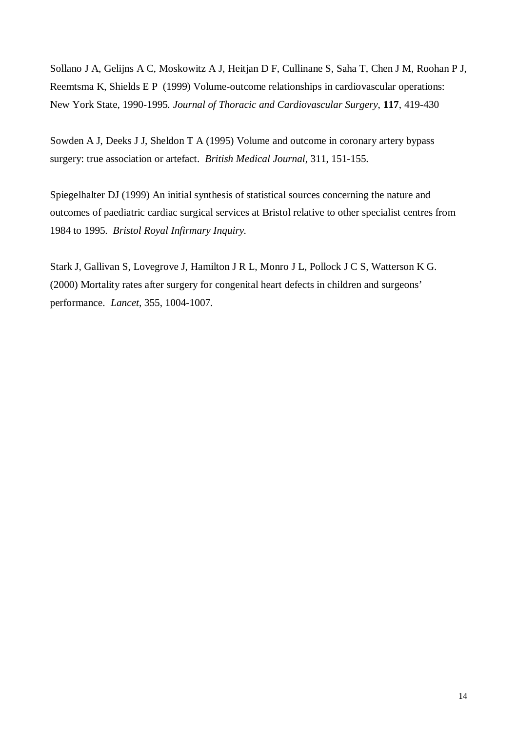Sollano J A, Gelijns A C, Moskowitz A J, Heitjan D F, Cullinane S, Saha T, Chen J M, Roohan P J, Reemtsma K, Shields E P (1999) Volume-outcome relationships in cardiovascular operations: New York State, 1990-1995*. Journal of Thoracic and Cardiovascular Surgery*, **117**, 419-430

Sowden A J, Deeks J J, Sheldon T A (1995) Volume and outcome in coronary artery bypass surgery: true association or artefact. *British Medical Journal*, 311, 151-155.

Spiegelhalter DJ (1999) An initial synthesis of statistical sources concerning the nature and outcomes of paediatric cardiac surgical services at Bristol relative to other specialist centres from 1984 to 1995. *Bristol Royal Infirmary Inquiry.*

Stark J, Gallivan S, Lovegrove J, Hamilton J R L, Monro J L, Pollock J C S, Watterson K G. (2000) Mortality rates after surgery for congenital heart defects in children and surgeons' performance. *Lancet*, 355, 1004-1007.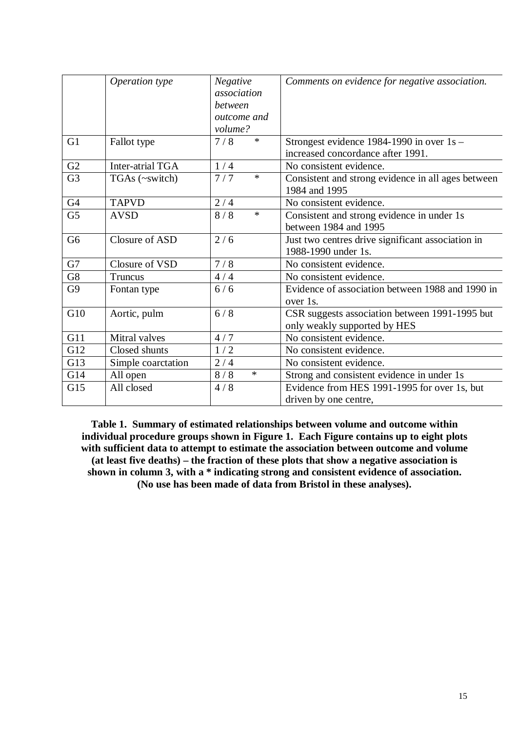|                | Operation type     | Negative<br>association<br>between<br>outcome and | Comments on evidence for negative association.                                   |
|----------------|--------------------|---------------------------------------------------|----------------------------------------------------------------------------------|
|                |                    | volume?                                           |                                                                                  |
| G <sub>1</sub> | Fallot type        | $\ast$<br>7/8                                     | Strongest evidence 1984-1990 in over $1s -$<br>increased concordance after 1991. |
| G2             | Inter-atrial TGA   | 1/4                                               | No consistent evidence.                                                          |
| G <sub>3</sub> | TGAs (~switch)     | 7/7<br>$\ast$                                     | Consistent and strong evidence in all ages between<br>1984 and 1995              |
| G <sub>4</sub> | <b>TAPVD</b>       | 2/4                                               | No consistent evidence.                                                          |
| G <sub>5</sub> | <b>AVSD</b>        | 8/8<br>$\ast$                                     | Consistent and strong evidence in under 1s<br>between 1984 and 1995              |
| G <sub>6</sub> | Closure of ASD     | 2/6                                               | Just two centres drive significant association in<br>1988-1990 under 1s.         |
| G7             | Closure of VSD     | 7/8                                               | No consistent evidence.                                                          |
| G8             | Truncus            | 4/4                                               | No consistent evidence.                                                          |
| G <sub>9</sub> | Fontan type        | 6/6                                               | Evidence of association between 1988 and 1990 in<br>over 1s.                     |
| G10            | Aortic, pulm       | 6/8                                               | CSR suggests association between 1991-1995 but<br>only weakly supported by HES   |
| G11            | Mitral valves      | 4/7                                               | No consistent evidence.                                                          |
| G12            | Closed shunts      | 1/2                                               | No consistent evidence.                                                          |
| G13            | Simple coarctation | 2/4                                               | No consistent evidence.                                                          |
| G14            | All open           | 8/8<br>$\ast$                                     | Strong and consistent evidence in under 1s                                       |
| G15            | All closed         | 4/8                                               | Evidence from HES 1991-1995 for over 1s, but                                     |
|                |                    |                                                   | driven by one centre,                                                            |

**Table 1. Summary of estimated relationships between volume and outcome within individual procedure groups shown in Figure 1. Each Figure contains up to eight plots with sufficient data to attempt to estimate the association between outcome and volume (at least five deaths) – the fraction of these plots that show a negative association is shown in column 3, with a \* indicating strong and consistent evidence of association. (No use has been made of data from Bristol in these analyses).**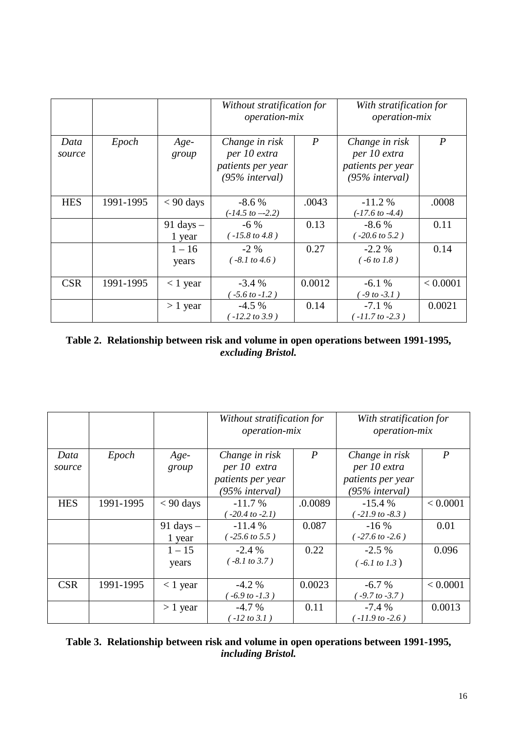|                |           |                               | Without stratification for<br><i>operation-mix</i>                       |                  | With stratification for<br><i>operation-mix</i>                          |                  |
|----------------|-----------|-------------------------------|--------------------------------------------------------------------------|------------------|--------------------------------------------------------------------------|------------------|
| Data<br>source | Epoch     | Age-<br>group                 | Change in risk<br>per 10 extra<br>patients per year<br>$(95\%$ interval) | $\boldsymbol{P}$ | Change in risk<br>per 10 extra<br>patients per year<br>$(95\%$ interval) | $\boldsymbol{P}$ |
| <b>HES</b>     | 1991-1995 | $< 90$ days                   | $-8.6\%$<br>$(-14.5~to -2.2)$                                            | .0043            | $-11.2%$<br>$(-17.6 \text{ to } -4.4)$                                   | .0008            |
|                |           | $91 \text{ days} -$<br>1 year | $-6\%$<br>$(-15.8 \text{ to } 4.8)$                                      | 0.13             | $-8.6%$<br>$(-20.6 \text{ to } 5.2)$                                     | 0.11             |
|                |           | $1 - 16$<br>years             | $-2\%$<br>$(-8.1 \text{ to } 4.6)$                                       | 0.27             | $-2.2\%$<br>$(-6 to 1.8)$                                                | 0.14             |
| <b>CSR</b>     | 1991-1995 | $<$ 1 year                    | $-3.4%$<br>$-5.6$ to $-1.2$ )                                            | 0.0012           | $-6.1%$<br>$-9$ to $-3.1$ )                                              | < 0.0001         |
|                |           | $> 1$ year                    | $-4.5\%$<br>$-12.2$ to 3.9)                                              | 0.14             | $-7.1%$<br>$-11.7$ to $-2.3$ )                                           | 0.0021           |

# **Table 2. Relationship between risk and volume in open operations between 1991-1995,** *excluding Bristol.*

|            |           |                     | Without stratification for<br><i>operation-mix</i> |                | With stratification for<br><i>operation-mix</i> |                  |  |
|------------|-----------|---------------------|----------------------------------------------------|----------------|-------------------------------------------------|------------------|--|
| Data       | Epoch     | $Age-$              | Change in risk                                     | $\overline{P}$ | Change in risk                                  | $\boldsymbol{P}$ |  |
| source     |           | group               | per 10 extra                                       |                | per 10 extra                                    |                  |  |
|            |           |                     | patients per year                                  |                | patients per year                               |                  |  |
|            |           |                     | (95% interval)                                     |                | $(95\%$ interval)                               |                  |  |
| <b>HES</b> | 1991-1995 | $< 90$ days         | $-11.7%$                                           | .0.0089        | $-15.4%$                                        | < 0.0001         |  |
|            |           |                     | $-20.4$ to $-2.1$ )                                |                | $-21.9$ to $-8.3$ )                             |                  |  |
|            |           | $91 \text{ days} -$ | $-11.4%$                                           | 0.087          | $-16\%$                                         | 0.01             |  |
|            |           | 1 year              | $-25.6 \text{ to } 5.5$ )                          |                | $(-27.6 \text{ to } -2.6)$                      |                  |  |
|            |           | $1 - 15$            | $-2.4\%$                                           | 0.22           | $-2.5\%$                                        | 0.096            |  |
|            |           | years               | $(-8.1 \text{ to } 3.7)$                           |                | $(-6.1 \text{ to } 1.3)$                        |                  |  |
|            |           |                     |                                                    |                |                                                 |                  |  |
| <b>CSR</b> | 1991-1995 | $<$ 1 year          | $-4.2\%$                                           | 0.0023         | $-6.7%$                                         | < 0.0001         |  |
|            |           |                     | $-6.9$ to $-1.3$ )                                 |                | $-9.7$ to $-3.7$ )                              |                  |  |
|            |           | $> 1$ year          | $-4.7\%$                                           | 0.11           | $-7.4%$                                         | 0.0013           |  |
|            |           |                     | $-12$ to 3.1)                                      |                | $-11.9$ to $-2.6$ )                             |                  |  |

| Table 3. Relationship between risk and volume in open operations between 1991-1995, |
|-------------------------------------------------------------------------------------|
| <i>including Bristol.</i>                                                           |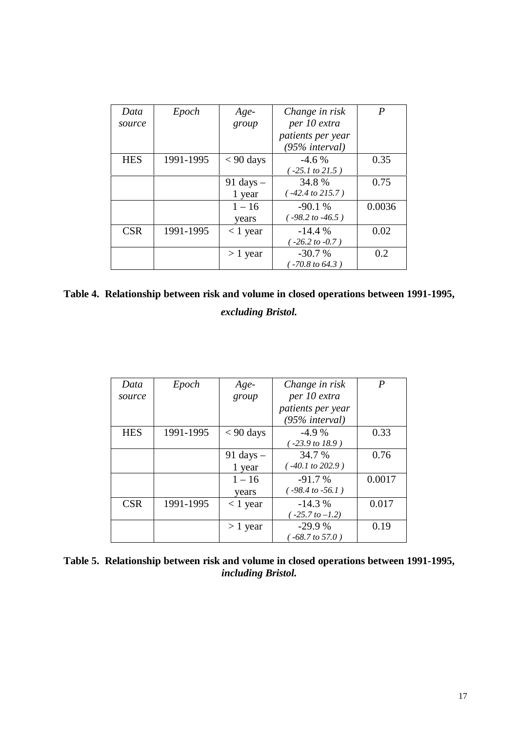| Data       | Epoch     | Age-                | Change in risk              | P      |
|------------|-----------|---------------------|-----------------------------|--------|
| source     |           | group               | per 10 extra                |        |
|            |           |                     | patients per year           |        |
|            |           |                     | $(95\%$ interval)           |        |
| <b>HES</b> | 1991-1995 | $< 90$ days         | $-4.6%$                     | 0.35   |
|            |           |                     | $-25.1$ to 21.5)            |        |
|            |           | $91 \text{ days} -$ | 34.8%                       | 0.75   |
|            |           | 1 year              | $(-42.4 \text{ to } 215.7)$ |        |
|            |           | $1 - 16$            | $-90.1%$                    | 0.0036 |
|            |           | years               | $(-98.2 \text{ to } -46.5)$ |        |
| <b>CSR</b> | 1991-1995 | $< 1$ year          | $-14.4%$                    | 0.02   |
|            |           |                     | $($ -26.2 to -0.7)          |        |
|            |           | $>1$ year           | $-30.7%$                    | 0.2    |
|            |           |                     | $-70.8$ to 64.3)            |        |

| Table 4. Relationship between risk and volume in closed operations between 1991-1995, |  |
|---------------------------------------------------------------------------------------|--|
| excluding Bristol.                                                                    |  |

| Data       | Epoch     | Age-                | Change in risk              | P      |
|------------|-----------|---------------------|-----------------------------|--------|
| source     |           | group               | per 10 extra                |        |
|            |           |                     | patients per year           |        |
|            |           |                     | $(95\%$ interval)           |        |
| <b>HES</b> | 1991-1995 | $< 90$ days         | $-4.9%$                     | 0.33   |
|            |           |                     | $-23.9$ to 18.9)            |        |
|            |           | $91 \text{ days} -$ | 34.7 %                      | 0.76   |
|            |           | 1 year              | $(-40.1 to 202.9)$          |        |
|            |           | $1 - 16$            | $-91.7%$                    | 0.0017 |
|            |           | years               | $(-98.4 \text{ to } -56.1)$ |        |
| <b>CSR</b> | 1991-1995 | $<$ 1 year          | $-14.3%$                    | 0.017  |
|            |           |                     | $-25.7$ to $-1.2$ )         |        |
|            |           | $> 1$ year          | $-29.9%$                    | 0.19   |
|            |           |                     | $(-68.7 \text{ to } 57.0)$  |        |

**Table 5. Relationship between risk and volume in closed operations between 1991-1995,** *including Bristol.*